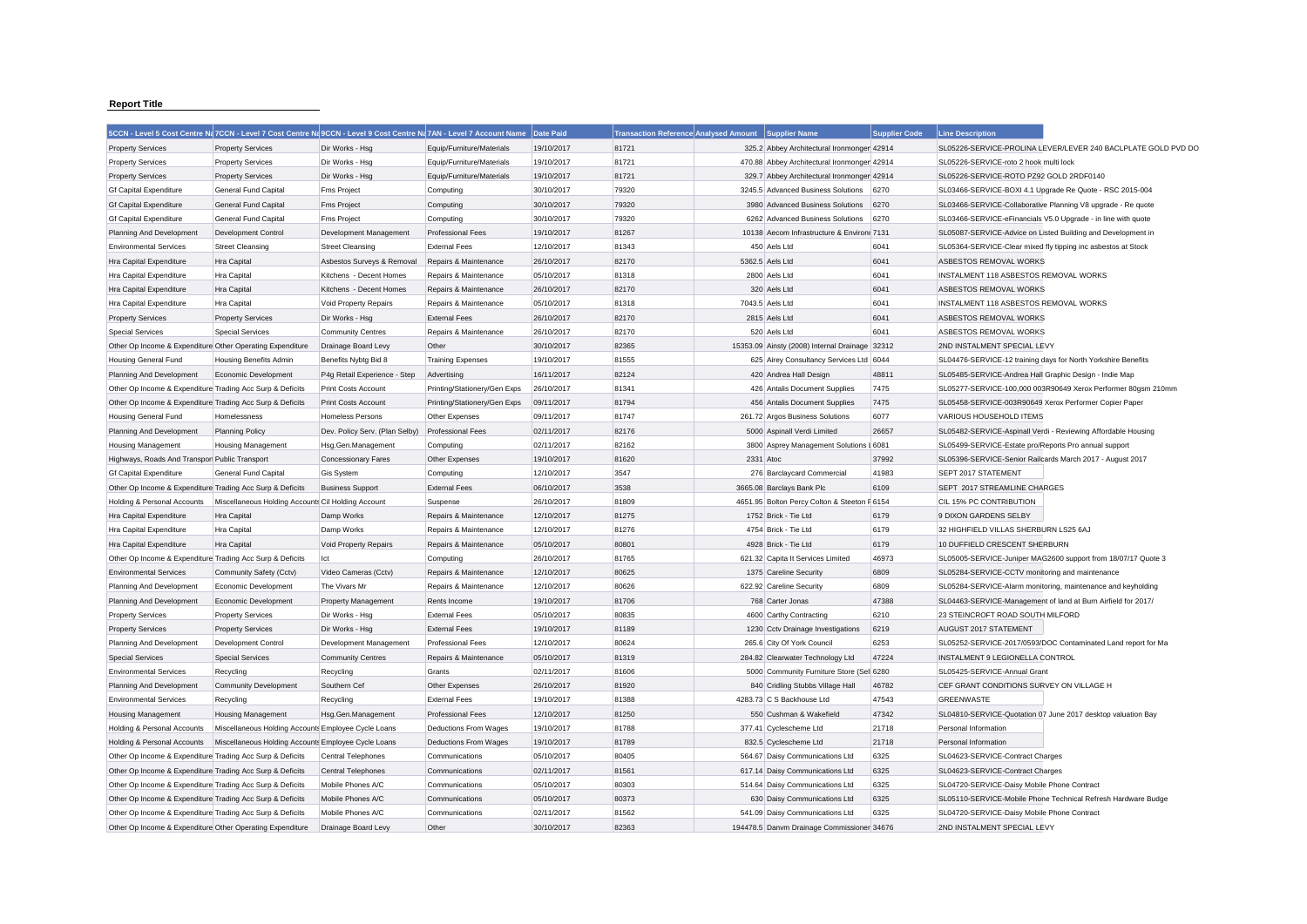## **Report Title**

|                                                           | 5CCN - Level 5 Cost Centre Na 7CCN - Level 7 Cost Centre Na 9CCN - Level 9 Cost Centre Na 7AN - Level 7 Account Nam |                                |                              | <b>Date Paid</b> | <b>Transaction Reference Analysed Amount</b> | <b>Supplier Name</b>                         | <b>Supplier Code</b> | <b>Line Description</b>                                |                                                               |
|-----------------------------------------------------------|---------------------------------------------------------------------------------------------------------------------|--------------------------------|------------------------------|------------------|----------------------------------------------|----------------------------------------------|----------------------|--------------------------------------------------------|---------------------------------------------------------------|
| <b>Property Services</b>                                  | <b>Property Services</b>                                                                                            | Dir Works - Hsg                | Equip/Furniture/Materials    | 19/10/2017       | 81721                                        | 325.2 Abbey Architectural Ironmonger 42914   |                      |                                                        | SL05226-SERVICE-PROLINA LEVER/LEVER 240 BACLPLATE GOLD PVD DO |
| <b>Property Services</b>                                  | <b>Property Services</b>                                                                                            | Dir Works - Hsg                | Equip/Furniture/Materials    | 19/10/2017       | 81721                                        | 470.88 Abbey Architectural Ironmonger 42914  |                      | SL05226-SERVICE-roto 2 hook multi lock                 |                                                               |
| <b>Property Services</b>                                  | <b>Property Services</b>                                                                                            | Dir Works - Hsg                | Equip/Furniture/Materials    | 19/10/2017       | 81721                                        | 329.7 Abbey Architectural Ironmonger 42914   |                      | SL05226-SERVICE-ROTO PZ92 GOLD 2RDF0140                |                                                               |
| <b>Gf Capital Expenditure</b>                             | General Fund Capital                                                                                                | <b>Fms Project</b>             | Computing                    | 30/10/2017       | 79320                                        | 3245.5 Advanced Business Solutions           | 6270                 |                                                        | SL03466-SERVICE-BOXI 4.1 Upgrade Re Quote - RSC 2015-004      |
| <b>Gf Capital Expenditure</b>                             | General Fund Capital                                                                                                | <b>Fms Project</b>             | Computing                    | 30/10/2017       | 79320                                        | 3980 Advanced Business Solutions             | 6270                 |                                                        | SL03466-SERVICE-Collaborative Planning V8 upgrade - Re quote  |
| <b>Gf Capital Expenditure</b>                             | <b>General Fund Capital</b>                                                                                         | <b>Fms Project</b>             | Computing                    | 30/10/2017       | 79320                                        | 6262 Advanced Business Solutions             | 6270                 |                                                        | SL03466-SERVICE-eFinancials V5.0 Upgrade - in line with quote |
| Planning And Development                                  | <b>Development Control</b>                                                                                          | Development Management         | <b>Professional Fees</b>     | 19/10/2017       | 81267                                        | 10138 Aecom Infrastructure & Environr 7131   |                      |                                                        | SL05087-SERVICE-Advice on Listed Building and Development in  |
| <b>Environmental Services</b>                             | <b>Street Cleansing</b>                                                                                             | <b>Street Cleansing</b>        | <b>External Fees</b>         | 12/10/2017       | 81343                                        | 450 Aels Ltd                                 | 6041                 |                                                        | SL05364-SERVICE-Clear mixed fly tipping inc asbestos at Stock |
| Hra Capital Expenditure                                   | <b>Hra Capital</b>                                                                                                  | Asbestos Surveys & Removal     | Repairs & Maintenance        | 26/10/2017       | 82170                                        | 5362.5 Aels Ltd                              | 6041                 | ASBESTOS REMOVAL WORKS                                 |                                                               |
| Hra Capital Expenditure                                   | Hra Capital                                                                                                         | Kitchens - Decent Homes        | Repairs & Maintenance        | 05/10/2017       | 81318                                        | 2800 Aels Ltd                                | 6041                 | INSTALMENT 118 ASBESTOS REMOVAL WORKS                  |                                                               |
| Hra Capital Expenditure                                   | <b>Hra Capital</b>                                                                                                  | Kitchens - Decent Homes        | Repairs & Maintenance        | 26/10/2017       | 82170                                        | 320 Aels Ltd                                 | 6041                 | ASBESTOS REMOVAL WORKS                                 |                                                               |
| Hra Capital Expenditure                                   | <b>Hra Capital</b>                                                                                                  | Void Property Repairs          | Repairs & Maintenance        | 05/10/2017       | 81318                                        | 7043.5 Aels Ltd                              | 6041                 | INSTALMENT 118 ASBESTOS REMOVAL WORKS                  |                                                               |
| <b>Property Services</b>                                  | <b>Property Services</b>                                                                                            | Dir Works - Hsg                | <b>External Fees</b>         | 26/10/2017       | 82170                                        | 2815 Aels Ltd                                | 6041                 | ASBESTOS REMOVAL WORKS                                 |                                                               |
| <b>Special Services</b>                                   | <b>Special Services</b>                                                                                             | Community Centres              | Repairs & Maintenance        | 26/10/2017       | 82170                                        | 520 Aels Ltd                                 | 6041                 | ASBESTOS REMOVAL WORKS                                 |                                                               |
| Other Op Income & Expenditure Other Operating Expenditure |                                                                                                                     | Drainage Board Levy            | Other                        | 30/10/2017       | 82365                                        | 15353.09 Ainsty (2008) Internal Drainage     | 32312                | 2ND INSTALMENT SPECIAL LEVY                            |                                                               |
| <b>Housing General Fund</b>                               | <b>Housing Benefits Admin</b>                                                                                       | Benefits Nybtg Bid 8           | <b>Training Expenses</b>     | 19/10/2017       | 81555                                        | 625 Airey Consultancy Services Ltd 6044      |                      |                                                        | SL04476-SERVICE-12 training days for North Yorkshire Benefits |
| Planning And Development                                  | Economic Development                                                                                                | P4g Retail Experience - Step   | Advertising                  | 16/11/2017       | 82124                                        | 420 Andrea Hall Design                       | 48811                | SL05485-SERVICE-Andrea Hall Graphic Design - Indie Map |                                                               |
| Other Op Income & Expenditure Trading Acc Surp & Deficits |                                                                                                                     | Print Costs Account            | Printing/Stationery/Gen Exps | 26/10/2017       | 81341                                        | 426 Antalis Document Supplies                | 7475                 |                                                        | SL05277-SERVICE-100,000 003R90649 Xerox Performer 80gsm 210mm |
| Other Op Income & Expenditure Trading Acc Surp & Deficits |                                                                                                                     | <b>Print Costs Account</b>     | Printing/Stationery/Gen Exps | 09/11/2017       | 81794                                        | 456 Antalis Document Supplies                | 7475                 | SL05458-SERVICE-003R90649 Xerox Performer Copier Paper |                                                               |
| <b>Housing General Fund</b>                               | Homelessness                                                                                                        | <b>Homeless Persons</b>        | Other Expenses               | 09/11/2017       | 81747                                        | 261.72 Argos Business Solutions              | 6077                 | VARIOUS HOUSEHOLD ITEMS                                |                                                               |
| Planning And Development                                  | <b>Planning Policy</b>                                                                                              | Dev. Policy Serv. (Plan Selby) | <b>Professional Fees</b>     | 02/11/2017       | 82176                                        | 5000 Aspinall Verdi Limited                  | 26657                |                                                        | SL05482-SERVICE-Aspinall Verdi - Reviewing Affordable Housing |
| <b>Housing Management</b>                                 | <b>Housing Management</b>                                                                                           | Hsg.Gen.Management             |                              | 02/11/2017       | 82162                                        | 3800 Asprey Management Solutions I 6081      |                      | SL05499-SERVICE-Estate pro/Reports Pro annual support  |                                                               |
|                                                           |                                                                                                                     |                                | Computing                    | 19/10/2017       | 81620                                        | 2331 Atoc                                    | 37992                |                                                        |                                                               |
| Highways, Roads And Transpor Public Transport             | <b>General Fund Capital</b>                                                                                         | <b>Concessionary Fares</b>     | Other Expenses               | 12/10/2017       | 3547                                         |                                              | 41983                | SEPT 2017 STATEMENT                                    | SL05396-SERVICE-Senior Railcards March 2017 - August 2017     |
| <b>Gf Capital Expenditure</b>                             |                                                                                                                     | <b>Gis System</b>              | Computing                    |                  |                                              | 276 Barclaycard Commercial                   |                      |                                                        |                                                               |
| Other Op Income & Expenditure Trading Acc Surp & Deficits |                                                                                                                     | <b>Business Support</b>        | <b>External Fees</b>         | 06/10/2017       | 3538                                         | 3665.08 Barclays Bank Plc                    | 6109                 | SEPT 2017 STREAMLINE CHARGES                           |                                                               |
| Holding & Personal Accounts                               | Miscellaneous Holding Accounts Cil Holding Account                                                                  |                                | Suspense                     | 26/10/2017       | 81809                                        | 4651.95 Bolton Percy Colton & Steeton F 6154 |                      | CIL 15% PC CONTRIBUTION                                |                                                               |
| Hra Capital Expenditure                                   | Hra Capital                                                                                                         | Damp Works                     | Repairs & Maintenance        | 12/10/2017       | 81275                                        | 1752 Brick - Tie Ltd                         | 6179                 | 9 DIXON GARDENS SELBY                                  |                                                               |
| Hra Capital Expenditure                                   | Hra Capital                                                                                                         | Damp Works                     | Repairs & Maintenance        | 12/10/2017       | 81276                                        | 4754 Brick - Tie Ltd                         | 6179                 | 32 HIGHFIELD VILLAS SHERBURN LS25 6AJ                  |                                                               |
| Hra Capital Expenditure                                   | Hra Capital                                                                                                         | Void Property Repairs          | Repairs & Maintenance        | 05/10/2017       | 80801                                        | 4928 Brick - Tie Ltd                         | 6179                 | 10 DUFFIELD CRESCENT SHERBURN                          |                                                               |
| Other Op Income & Expenditure Trading Acc Surp & Deficits |                                                                                                                     | Ict                            | Computing                    | 26/10/2017       | 81765                                        | 621.32 Capita It Services Limited            | 46973                |                                                        | SL05005-SERVICE-Juniper MAG2600 support from 18/07/17 Quote 3 |
| <b>Environmental Services</b>                             | Community Safety (Cctv)                                                                                             | Video Cameras (Cctv)           | Repairs & Maintenance        | 12/10/2017       | 80625                                        | 1375 Careline Security                       | 6809                 | SL05284-SERVICE-CCTV monitoring and maintenance        |                                                               |
| Planning And Development                                  | Economic Development                                                                                                | The Vivars Mr                  | Repairs & Maintenance        | 12/10/2017       | 80626                                        | 622.92 Careline Security                     | 6809                 |                                                        | SL05284-SERVICE-Alarm monitoring, maintenance and keyholding  |
| Planning And Development                                  | Economic Development                                                                                                | Property Management            | Rents Income                 | 19/10/2017       | 81706                                        | 768 Carter Jonas                             | 47388                |                                                        | SL04463-SERVICE-Management of land at Burn Airfield for 2017/ |
| <b>Property Services</b>                                  | <b>Property Services</b>                                                                                            | Dir Works - Hsg                | <b>External Fees</b>         | 05/10/2017       | 80835                                        | 4600 Carthy Contracting                      | 6210                 | 23 STEINCROFT ROAD SOUTH MILFORD                       |                                                               |
| <b>Property Services</b>                                  | <b>Property Services</b>                                                                                            | Dir Works - Hsg                | <b>External Fees</b>         | 19/10/2017       | 81189                                        | 1230 Cctv Drainage Investigations            | 6219                 | AUGUST 2017 STATEMENT                                  |                                                               |
| Planning And Development                                  | Development Control                                                                                                 | Development Management         | <b>Professional Fees</b>     | 12/10/2017       | 80624                                        | 265.6 City Of York Council                   | 6253                 |                                                        | SL05252-SERVICE-2017/0593/DOC Contaminated Land report for Ma |
| <b>Special Services</b>                                   | <b>Special Services</b>                                                                                             | <b>Community Centres</b>       | Repairs & Maintenance        | 05/10/2017       | 81319                                        | 284.82 Clearwater Technology Ltd             | 47224                | INSTALMENT 9 LEGIONELLA CONTROL                        |                                                               |
| <b>Environmental Services</b>                             | Recycling                                                                                                           | Recycling                      | Grants                       | 02/11/2017       | 81606                                        | 5000 Community Furniture Store (Sell 6280    |                      | SL05425-SERVICE-Annual Grant                           |                                                               |
| Planning And Development                                  | <b>Community Development</b>                                                                                        | Southern Cef                   | Other Expenses               | 26/10/2017       | 81920                                        | 840 Cridling Stubbs Village Hall             | 46782                | CEF GRANT CONDITIONS SURVEY ON VILLAGE H               |                                                               |
| <b>Environmental Services</b>                             | Recycling                                                                                                           | Recycling                      | <b>External Fees</b>         | 19/10/2017       | 81388                                        | 4283.73 C S Backhouse Ltd                    | 47543                | <b>GREENWASTE</b>                                      |                                                               |
| <b>Housing Management</b>                                 | <b>Housing Management</b>                                                                                           | Hsg.Gen.Management             | <b>Professional Fees</b>     | 12/10/2017       | 81250                                        | 550 Cushman & Wakefield                      | 47342                |                                                        | SL04810-SERVICE-Quotation 07 June 2017 desktop valuation Bay  |
| Holding & Personal Accounts                               | Miscellaneous Holding Accounts Employee Cycle Loans                                                                 |                                | Deductions From Wages        | 19/10/2017       | 81788                                        | 377.41 Cyclescheme Ltd                       | 21718                | Personal Information                                   |                                                               |
| Holding & Personal Accounts                               | Miscellaneous Holding Accounts Employee Cycle Loans                                                                 |                                | Deductions From Wages        | 19/10/2017       | 81789                                        | 832.5 Cyclescheme Ltd                        | 21718                | Personal Information                                   |                                                               |
| Other Op Income & Expenditure Trading Acc Surp & Deficits |                                                                                                                     | <b>Central Telephones</b>      | Communications               | 05/10/2017       | 80405                                        | 564.67 Daisy Communications Ltd              | 6325                 | SL04623-SERVICE-Contract Charges                       |                                                               |
| Other Op Income & Expenditure Trading Acc Surp & Deficits |                                                                                                                     | <b>Central Telephones</b>      | Communications               | 02/11/2017       | 81561                                        | 617.14 Daisy Communications Ltd              | 6325                 | SL04623-SERVICE-Contract Charges                       |                                                               |
| Other Op Income & Expenditure Trading Acc Surp & Deficits |                                                                                                                     | Mobile Phones A/C              | Communications               | 05/10/2017       | 80303                                        | 514.64 Daisy Communications Ltd              | 6325                 | SL04720-SERVICE-Daisy Mobile Phone Contract            |                                                               |
| Other Op Income & Expenditure Trading Acc Surp & Deficits |                                                                                                                     | Mobile Phones A/C              | Communications               | 05/10/2017       | 80373                                        | 630 Daisy Communications Ltd                 | 6325                 |                                                        | SL05110-SERVICE-Mobile Phone Technical Refresh Hardware Budge |
| Other Op Income & Expenditure Trading Acc Surp & Deficits |                                                                                                                     | Mobile Phones A/C              | Communications               | 02/11/2017       | 81562                                        | 541.09 Daisy Communications Ltd              | 6325                 | SL04720-SERVICE-Daisy Mobile Phone Contract            |                                                               |
| Other Op Income & Expenditure Other Operating Expenditure |                                                                                                                     | Drainage Board Levy            | Other                        | 30/10/2017       | 82363                                        | 194478.5 Danym Drainage Commissioner 34676   |                      | 2ND INSTALMENT SPECIAL LEVY                            |                                                               |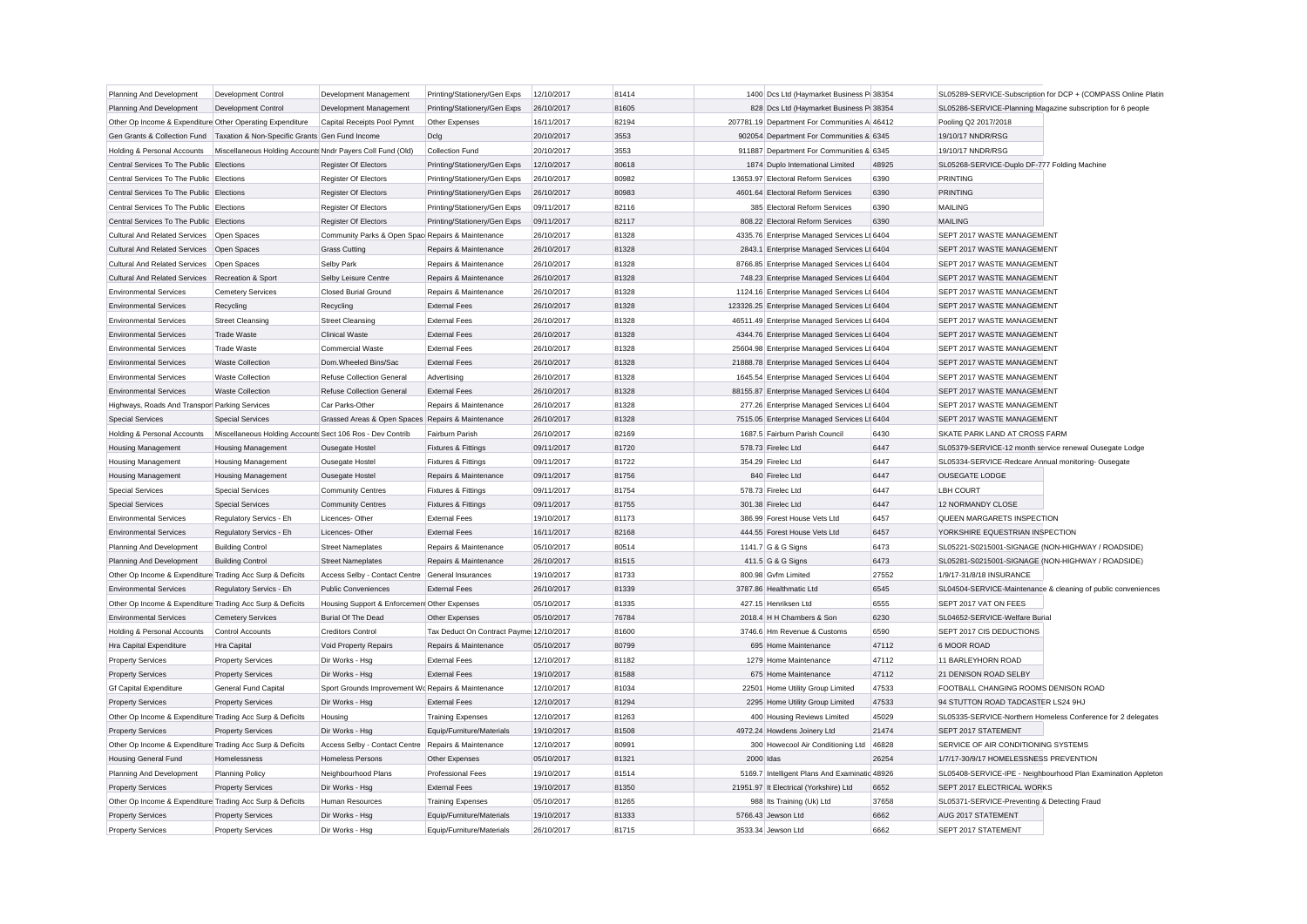| Planning And Development                                  | Development Control                                        | Development Management                               | Printing/Stationery/Gen Exps               | 12/10/2017               | 81414          |           | 1400 Dcs Ltd (Haymarket Business P 38354      |              | SL05289-SERVICE-Subscription for DCP + (COMPASS Online Platin                          |
|-----------------------------------------------------------|------------------------------------------------------------|------------------------------------------------------|--------------------------------------------|--------------------------|----------------|-----------|-----------------------------------------------|--------------|----------------------------------------------------------------------------------------|
| Planning And Development                                  | Development Control                                        | Development Management                               | Printing/Stationery/Gen Exps               | 26/10/2017               | 81605          |           | 828 Dcs Ltd (Haymarket Business P 38354       |              | SL05286-SERVICE-Planning Magazine subscription for 6 people                            |
| Other Op Income & Expenditure Other Operating Expenditure |                                                            | Capital Receipts Pool Pymnt                          | Other Expenses                             | 16/11/2017               | 82194          |           | 207781.19 Department For Communities A 46412  |              | Pooling Q2 2017/2018                                                                   |
| Gen Grants & Collection Fund                              | Taxation & Non-Specific Grants Gen Fund Income             |                                                      | Dclg                                       | 20/10/2017               | 3553           |           | 902054 Department For Communities & 6345      |              | 19/10/17 NNDR/RSG                                                                      |
| Holding & Personal Accounts                               | Miscellaneous Holding Accounts Nndr Payers Coll Fund (Old) |                                                      | Collection Fund                            | 20/10/2017               | 3553           |           | 911887 Department For Communities & 6345      |              | 19/10/17 NNDR/RSG                                                                      |
| Central Services To The Public Elections                  |                                                            | <b>Register Of Electors</b>                          | Printing/Stationery/Gen Exps               | 12/10/2017               | 80618          |           | 1874 Duplo International Limited              | 48925        | SL05268-SERVICE-Duplo DF-777 Folding Machine                                           |
| Central Services To The Public Elections                  |                                                            | Register Of Electors                                 | Printing/Stationery/Gen Exps               | 26/10/2017               | 80982          |           | 13653.97 Electoral Reform Services            | 6390         | PRINTING                                                                               |
| Central Services To The Public Elections                  |                                                            | Register Of Electors                                 | Printing/Stationery/Gen Exps               | 26/10/2017               | 80983          |           | 4601.64 Electoral Reform Services             | 6390         | PRINTING                                                                               |
| Central Services To The Public Elections                  |                                                            | <b>Register Of Electors</b>                          | Printing/Stationery/Gen Exps               | 09/11/2017               | 82116          |           | 385 Electoral Reform Services                 | 6390         | <b>MAILING</b>                                                                         |
| Central Services To The Public Elections                  |                                                            | <b>Register Of Electors</b>                          | Printing/Stationery/Gen Exps               | 09/11/2017               | 82117          |           | 808.22 Electoral Reform Services              | 6390         | <b>MAILING</b>                                                                         |
| <b>Cultural And Related Services</b>                      | Open Spaces                                                | Community Parks & Open Spac Repairs & Maintenance    |                                            | 26/10/2017               | 81328          |           | 4335.76 Enterprise Managed Services Lt 6404   |              | SEPT 2017 WASTE MANAGEMENT                                                             |
| <b>Cultural And Related Services</b>                      | Open Spaces                                                | <b>Grass Cutting</b>                                 | Repairs & Maintenance                      | 26/10/2017               | 81328          |           | 2843.1 Enterprise Managed Services Lt 6404    |              | SEPT 2017 WASTE MANAGEMENT                                                             |
| <b>Cultural And Related Services</b>                      | Open Spaces                                                | Selby Park                                           | Repairs & Maintenance                      | 26/10/2017               | 81328          |           | 8766.85 Enterprise Managed Services Lt 6404   |              | SEPT 2017 WASTE MANAGEMENT                                                             |
| <b>Cultural And Related Services</b>                      | Recreation & Sport                                         | Selby Leisure Centre                                 | Repairs & Maintenance                      | 26/10/2017               | 81328          |           | 748.23 Enterprise Managed Services Lt 6404    |              | SEPT 2017 WASTE MANAGEMENT                                                             |
| <b>Environmental Services</b>                             | <b>Cemetery Services</b>                                   | <b>Closed Burial Ground</b>                          | Repairs & Maintenance                      | 26/10/2017               | 81328          |           | 1124.16 Enterprise Managed Services Lt 6404   |              | SEPT 2017 WASTE MANAGEMENT                                                             |
| <b>Environmental Services</b>                             | Recycling                                                  | Recycling                                            | <b>External Fees</b>                       | 26/10/2017               | 81328          |           | 123326.25 Enterprise Managed Services Lt 6404 |              | SEPT 2017 WASTE MANAGEMENT                                                             |
| <b>Environmental Services</b>                             | <b>Street Cleansing</b>                                    | <b>Street Cleansing</b>                              | <b>External Fees</b>                       | 26/10/2017               | 81328          |           | 46511.49 Enterprise Managed Services Lt 6404  |              | SEPT 2017 WASTE MANAGEMENT                                                             |
| <b>Environmental Services</b>                             | <b>Trade Waste</b>                                         | <b>Clinical Waste</b>                                | <b>External Fees</b>                       | 26/10/2017               | 81328          |           | 4344.76 Enterprise Managed Services Lt 6404   |              | SEPT 2017 WASTE MANAGEMENT                                                             |
| <b>Environmental Services</b>                             | <b>Trade Waste</b>                                         | Commercial Waste                                     | <b>External Fees</b>                       | 26/10/2017               | 81328          |           | 25604.98 Enterprise Managed Services Lt 6404  |              | SEPT 2017 WASTE MANAGEMENT                                                             |
| <b>Environmental Services</b>                             | <b>Waste Collection</b>                                    | Dom.Wheeled Bins/Sac                                 | <b>External Fees</b>                       | 26/10/2017               | 81328          |           | 21888.78 Enterprise Managed Services Lt 6404  |              | SEPT 2017 WASTE MANAGEMENT                                                             |
| <b>Environmental Services</b>                             | <b>Waste Collection</b>                                    | <b>Refuse Collection General</b>                     | Advertising                                | 26/10/2017               | 81328          |           | 1645.54 Enterprise Managed Services Lt 6404   |              | SEPT 2017 WASTE MANAGEMENT                                                             |
| <b>Environmental Services</b>                             | <b>Waste Collection</b>                                    | <b>Refuse Collection General</b>                     | <b>External Fees</b>                       | 26/10/2017               | 81328          |           | 88155.87 Enterprise Managed Services Lt 6404  |              | SEPT 2017 WASTE MANAGEMENT                                                             |
| Highways, Roads And Transpor Parking Services             |                                                            | Car Parks-Other                                      | Repairs & Maintenance                      | 26/10/2017               | 81328          |           | 277.26 Enterprise Managed Services Lt 6404    |              | SEPT 2017 WASTE MANAGEMENT                                                             |
| <b>Special Services</b>                                   | <b>Special Services</b>                                    | Grassed Areas & Open Spaces Repairs & Maintenance    |                                            | 26/10/2017               | 81328          |           | 7515.05 Enterprise Managed Services Lt 6404   |              | SEPT 2017 WASTE MANAGEMENT                                                             |
| Holding & Personal Accounts                               | Miscellaneous Holding Accounts Sect 106 Ros - Dev Contrib  |                                                      | Fairburn Parish                            | 26/10/2017               | 82169          |           | 1687.5 Fairburn Parish Council                | 6430         | SKATE PARK LAND AT CROSS FARM                                                          |
| <b>Housing Management</b>                                 | <b>Housing Management</b>                                  | <b>Ousegate Hostel</b>                               | <b>Fixtures &amp; Fittings</b>             | 09/11/2017               | 81720          |           | 578.73 Firelec Ltd                            | 6447         | SL05379-SERVICE-12 month service renewal Ousegate Lodge                                |
| <b>Housing Management</b>                                 | <b>Housing Management</b>                                  | Ousegate Hostel                                      | Fixtures & Fittings                        | 09/11/2017               | 81722          |           | 354.29 Firelec Ltd                            | 6447         | SL05334-SERVICE-Redcare Annual monitoring-Ousegate                                     |
| <b>Housing Management</b>                                 | <b>Housing Management</b>                                  | Ousegate Hostel                                      | Repairs & Maintenance                      | 09/11/2017               | 81756          |           | 840 Firelec Ltd                               | 6447         | <b>OUSEGATE LODGE</b>                                                                  |
| <b>Special Services</b>                                   | <b>Special Services</b>                                    | <b>Community Centres</b>                             | Fixtures & Fittings                        | 09/11/2017               | 81754          |           | 578.73 Firelec Ltd                            | 6447         | <b>LBH COURT</b>                                                                       |
| <b>Special Services</b>                                   | <b>Special Services</b>                                    | <b>Community Centres</b>                             | <b>Fixtures &amp; Fittings</b>             | 09/11/2017               | 81755          |           | 301.38 Firelec Ltd                            | 6447         | 12 NORMANDY CLOSE                                                                      |
| <b>Environmental Services</b>                             | Regulatory Servics - Eh                                    | Licences-Other                                       | <b>External Fees</b>                       | 19/10/2017               | 81173          |           | 386.99 Forest House Vets Ltd                  | 6457         | QUEEN MARGARETS INSPECTION                                                             |
| <b>Environmental Services</b>                             | Regulatory Servics - Eh                                    | Licences-Other                                       | <b>External Fees</b>                       | 16/11/2017               | 82168          |           | 444.55 Forest House Vets Ltd                  | 6457         | YORKSHIRE EQUESTRIAN INSPECTION                                                        |
| Planning And Development                                  | <b>Building Control</b>                                    |                                                      | Repairs & Maintenance                      | 05/10/2017               | 80514          |           | 1141.7 G & G Signs                            | 6473         | SL05221-S0215001-SIGNAGE (NON-HIGHWAY / ROADSIDE)                                      |
| Planning And Development                                  | <b>Building Control</b>                                    | <b>Street Nameplates</b><br><b>Street Nameplates</b> | Repairs & Maintenance                      | 26/10/2017               | 81515          |           | 411.5 G & G Signs                             | 6473         | SL05281-S0215001-SIGNAGE (NON-HIGHWAY / ROADSIDE)                                      |
|                                                           |                                                            |                                                      |                                            |                          |                |           | 800.98 Gvfm Limited                           |              |                                                                                        |
| Other Op Income & Expenditure Trading Acc Surp & Deficits |                                                            | Access Selby - Contact Centre                        | General Insurances<br><b>External Fees</b> | 19/10/2017               | 81733<br>81339 |           | 3787.86 Healthmatic Ltd                       | 27552        | 1/9/17-31/8/18 INSURANCE                                                               |
| <b>Environmental Services</b>                             | Regulatory Servics - Eh                                    | <b>Public Conveniences</b>                           |                                            | 26/10/2017<br>05/10/2017 | 81335          |           | 427.15 Henriksen Ltd                          | 6545<br>6555 | SL04504-SERVICE-Maintenance & cleaning of public conveniences<br>SEPT 2017 VAT ON FEES |
| Other Op Income & Expenditure Trading Acc Surp & Deficits |                                                            | Housing Support & Enforcemen Other Expenses          |                                            |                          |                |           |                                               |              |                                                                                        |
| <b>Environmental Services</b>                             | <b>Cemetery Services</b>                                   | <b>Burial Of The Dead</b>                            | Other Expenses                             | 05/10/2017               | 76784<br>81600 |           | 2018.4 H H Chambers & Son                     | 6230         | SL04652-SERVICE-Welfare Burial<br>SEPT 2017 CIS DEDUCTIONS                             |
| Holding & Personal Accounts                               | Control Accounts                                           | <b>Creditors Control</b>                             | Tax Deduct On Contract Payme 12/10/2017    |                          |                |           | 3746.6 Hm Revenue & Customs                   | 6590         |                                                                                        |
| Hra Capital Expenditure                                   | Hra Capital                                                | Void Property Repairs                                | Repairs & Maintenance                      | 05/10/2017               | 80799          |           | 695 Home Maintenance                          | 47112        | 6 MOOR ROAD                                                                            |
| <b>Property Services</b>                                  | <b>Property Services</b>                                   | Dir Works - Hsg                                      | <b>External Fees</b>                       | 12/10/2017               | 81182          |           | 1279 Home Maintenance                         | 47112        | 11 BARLEYHORN ROAD                                                                     |
| <b>Property Services</b>                                  | <b>Property Services</b>                                   | Dir Works - Hsg                                      | <b>External Fees</b>                       | 19/10/2017               | 81588          |           | 675 Home Maintenance                          | 47112        | 21 DENISON ROAD SELBY                                                                  |
| <b>Gf Capital Expenditure</b>                             | General Fund Capital                                       | Sport Grounds Improvement Wo Repairs & Maintenance   |                                            | 12/10/2017               | 81034          |           | 22501 Home Utility Group Limited              | 47533        | FOOTBALL CHANGING ROOMS DENISON ROAD                                                   |
| <b>Property Services</b>                                  | <b>Property Services</b>                                   | Dir Works - Hsg                                      | <b>External Fees</b>                       | 12/10/2017               | 81294          |           | 2295 Home Utility Group Limited               | 47533        | 94 STUTTON ROAD TADCASTER LS24 9HJ                                                     |
| Other Op Income & Expenditure Trading Acc Surp & Deficits |                                                            | Housing                                              | <b>Training Expenses</b>                   | 12/10/2017               | 81263          |           | 400 Housing Reviews Limited                   | 45029        | SL05335-SERVICE-Northern Homeless Conference for 2 delegates                           |
| <b>Property Services</b>                                  | <b>Property Services</b>                                   | Dir Works - Hsg                                      | Equip/Furniture/Materials                  | 19/10/2017               | 81508          |           | 4972.24 Howdens Joinery Ltd                   | 21474        | SEPT 2017 STATEMENT                                                                    |
| Other Op Income & Expenditure Trading Acc Surp & Deficits |                                                            | Access Selby - Contact Centre                        | Repairs & Maintenance                      | 12/10/2017               | 80991          |           | 300 Howecool Air Conditioning Ltd 46828       |              | SERVICE OF AIR CONDITIONING SYSTEMS                                                    |
| <b>Housing General Fund</b>                               | Homelessness                                               | <b>Homeless Persons</b>                              | Other Expenses                             | 05/10/2017               | 81321          | 2000 Idas |                                               | 26254        | 1/7/17-30/9/17 HOMELESSNESS PREVENTION                                                 |
| Planning And Development                                  | <b>Planning Policy</b>                                     | Neighbourhood Plans                                  | <b>Professional Fees</b>                   | 19/10/2017               | 81514          |           | 5169.7 Intelligent Plans And Examinatic 48926 |              | SL05408-SERVICE-IPE - Neighbourhood Plan Examination Appleton                          |
| <b>Property Services</b>                                  | <b>Property Services</b>                                   | Dir Works - Hsg                                      | <b>External Fees</b>                       | 19/10/2017               | 81350          |           | 21951.97 It Electrical (Yorkshire) Ltd        | 6652         | SEPT 2017 ELECTRICAL WORKS                                                             |
| Other Op Income & Expenditure Trading Acc Surp & Deficits |                                                            | Human Resources                                      | <b>Training Expenses</b>                   | 05/10/2017               | 81265          |           | 988 Its Training (Uk) Ltd                     | 37658        | SL05371-SERVICE-Preventing & Detecting Fraud                                           |
| <b>Property Services</b>                                  | <b>Property Services</b>                                   | Dir Works - Hsg                                      | Equip/Furniture/Materials                  | 19/10/2017               | 81333          |           | 5766.43 Jewson Ltd                            | 6662         | AUG 2017 STATEMENT                                                                     |
| <b>Property Services</b>                                  | <b>Property Services</b>                                   | Dir Works - Hsg                                      | Equip/Furniture/Materials                  | 26/10/2017               | 81715          |           | 3533.34 Jewson Ltd                            | 6662         | SEPT 2017 STATEMENT                                                                    |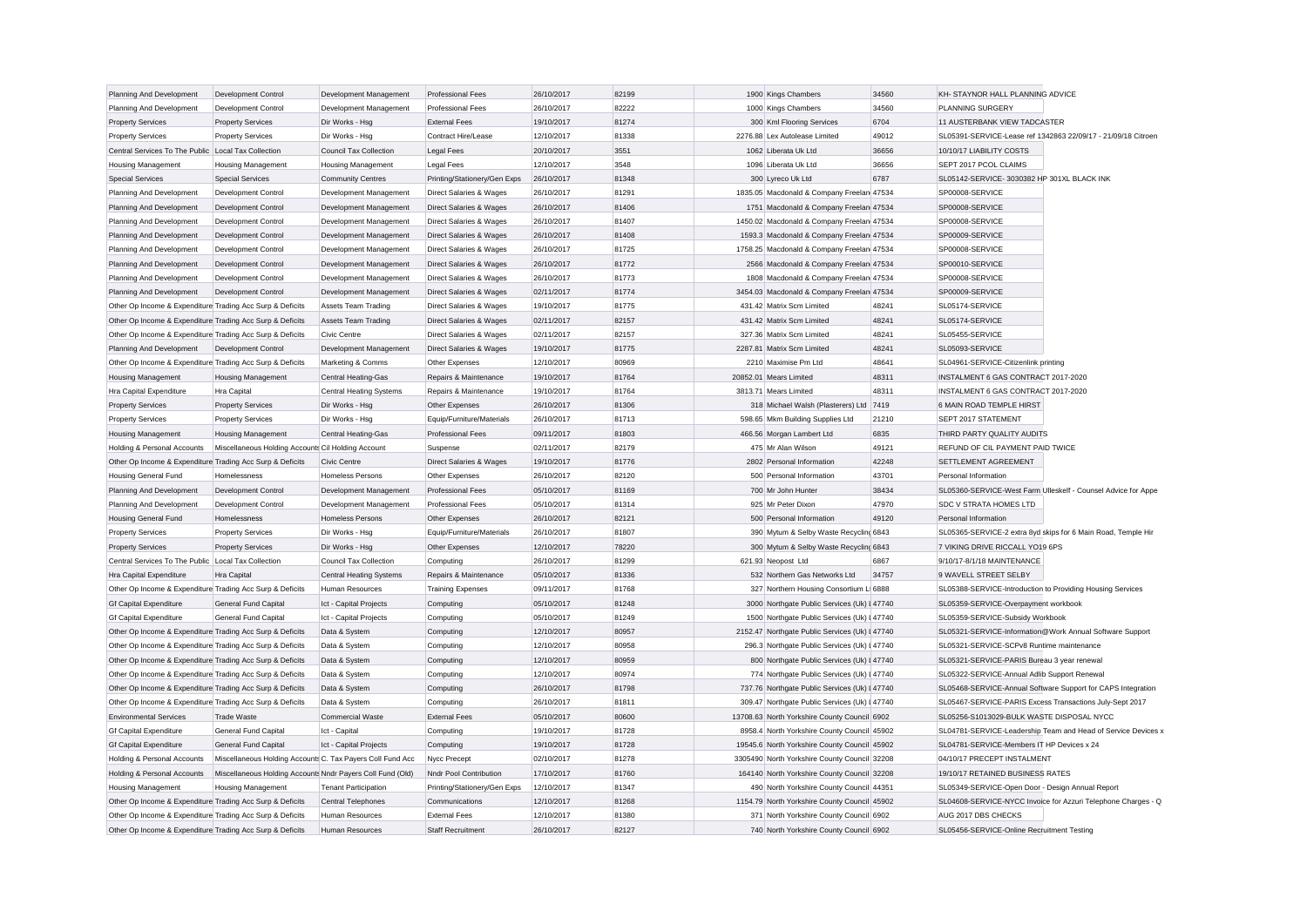| Planning And Development                                  | Development Control                                        | Development Management         | <b>Professional Fees</b>           | 26/10/2017               | 82199 | 1900 Kings Chambers                                                                      | 34560 | KH- STAYNOR HALL PLANNING ADVICE                              |
|-----------------------------------------------------------|------------------------------------------------------------|--------------------------------|------------------------------------|--------------------------|-------|------------------------------------------------------------------------------------------|-------|---------------------------------------------------------------|
| Planning And Development                                  | Development Control                                        | Development Management         | <b>Professional Fees</b>           | 26/10/2017               | 82222 | 1000 Kings Chambers                                                                      | 34560 | <b>PLANNING SURGERY</b>                                       |
| <b>Property Services</b>                                  | <b>Property Services</b>                                   | Dir Works - Hsg                | <b>External Fees</b>               | 19/10/2017               | 81274 | 300 Kml Flooring Services                                                                | 6704  | 11 AUSTERBANK VIEW TADCASTER                                  |
| <b>Property Services</b>                                  | <b>Property Services</b>                                   | Dir Works - Hsg                | Contract Hire/Lease                | 12/10/2017               | 81338 | 2276.88 Lex Autolease Limited                                                            | 49012 | SL05391-SERVICE-Lease ref 1342863 22/09/17 - 21/09/18 Citroen |
| Central Services To The Public Local Tax Collection       |                                                            | Council Tax Collection         | <b>Legal Fees</b>                  | 20/10/2017               | 3551  | 1062 Liberata Uk Ltd                                                                     | 36656 | 10/10/17 LIABILITY COSTS                                      |
| <b>Housing Management</b>                                 | <b>Housing Management</b>                                  | <b>Housing Management</b>      | Legal Fees                         | 12/10/2017               | 3548  | 1096 Liberata Uk Ltd                                                                     | 36656 | SEPT 2017 PCOL CLAIMS                                         |
| <b>Special Services</b>                                   | <b>Special Services</b>                                    | <b>Community Centres</b>       | Printing/Stationery/Gen Exps       | 26/10/2017               | 81348 | 300 Lyreco Uk Ltd                                                                        | 6787  | SL05142-SERVICE- 3030382 HP 301XL BLACK INK                   |
| Planning And Development                                  | Development Control                                        | Development Management         | Direct Salaries & Wages            | 26/10/2017               | 81291 | 1835.05 Macdonald & Company Freelan 47534                                                |       | SP00008-SERVICE                                               |
| Planning And Development                                  | <b>Development Control</b>                                 | Development Management         | <b>Direct Salaries &amp; Wages</b> | 26/10/2017               | 81406 | 1751 Macdonald & Company Freelan 47534                                                   |       | SP00008-SERVICE                                               |
| Planning And Development                                  | Development Control                                        | Development Management         | Direct Salaries & Wages            | 26/10/2017               | 81407 | 1450.02 Macdonald & Company Freelan 47534                                                |       | SP00008-SERVICE                                               |
| Planning And Development                                  | Development Control                                        | Development Management         | Direct Salaries & Wages            | 26/10/2017               | 81408 | 1593.3 Macdonald & Company Freelan 47534                                                 |       | SP00009-SERVICE                                               |
| Planning And Development                                  | Development Control                                        | Development Management         | Direct Salaries & Wages            | 26/10/2017               | 81725 | 1758.25 Macdonald & Company Freelan 47534                                                |       | SP00008-SERVICE                                               |
| Planning And Development                                  | Development Control                                        | Development Management         | Direct Salaries & Wages            | 26/10/2017               | 81772 | 2566 Macdonald & Company Freelan 47534                                                   |       | SP00010-SERVICE                                               |
| Planning And Development                                  | Development Control                                        | Development Management         | Direct Salaries & Wages            | 26/10/2017               | 81773 | 1808 Macdonald & Company Freelan 47534                                                   |       | SP00008-SERVICE                                               |
| Planning And Development                                  | Development Control                                        | Development Management         | Direct Salaries & Wages            | 02/11/2017               | 81774 | 3454.03 Macdonald & Company Freelan 47534                                                |       | SP00009-SERVICE                                               |
| Other Op Income & Expenditure Trading Acc Surp & Deficits |                                                            | <b>Assets Team Trading</b>     | Direct Salaries & Wages            | 19/10/2017               | 81775 | 431.42 Matrix Scm Limited                                                                | 48241 | SL05174-SERVICE                                               |
| Other Op Income & Expenditure Trading Acc Surp & Deficits |                                                            | <b>Assets Team Trading</b>     | Direct Salaries & Wages            | 02/11/2017               | 82157 | 431.42 Matrix Scm Limited                                                                | 48241 | SL05174-SERVICE                                               |
| Other Op Income & Expenditure Trading Acc Surp & Deficits |                                                            | Civic Centre                   | Direct Salaries & Wages            | 02/11/2017               | 82157 | 327.36 Matrix Scm Limited                                                                | 48241 | SL05455-SERVICE                                               |
| Planning And Development                                  | <b>Development Control</b>                                 | Development Management         | Direct Salaries & Wages            | 19/10/2017               | 81775 | 2287.81 Matrix Scm Limited                                                               | 48241 | SL05093-SERVICE                                               |
| Other Op Income & Expenditure Trading Acc Surp & Deficits |                                                            | Marketing & Comms              | Other Expenses                     | 12/10/2017               | 80969 | 2210 Maximise Pm Ltd                                                                     | 48641 | SL04961-SERVICE-Citizenlink printing                          |
| <b>Housing Management</b>                                 | <b>Housing Management</b>                                  | Central Heating-Gas            | Repairs & Maintenance              | 19/10/2017               | 81764 | 20852.01 Mears Limited                                                                   | 48311 | INSTALMENT 6 GAS CONTRACT 2017-2020                           |
| Hra Capital Expenditure                                   | Hra Capital                                                | <b>Central Heating Systems</b> | Repairs & Maintenance              | 19/10/2017               | 81764 | 3813.71 Mears Limited                                                                    | 48311 | INSTALMENT 6 GAS CONTRACT 2017-2020                           |
| <b>Property Services</b>                                  | <b>Property Services</b>                                   | Dir Works - Hsg                | Other Expenses                     | 26/10/2017               | 81306 | 318 Michael Walsh (Plasterers) Ltd                                                       | 7419  | 6 MAIN ROAD TEMPLE HIRST                                      |
| <b>Property Services</b>                                  | <b>Property Services</b>                                   | Dir Works - Hsg                | Equip/Furniture/Materials          | 26/10/2017               | 81713 | 598.65 Mkm Building Supplies Ltd                                                         | 21210 | SEPT 2017 STATEMENT                                           |
| <b>Housing Management</b>                                 | <b>Housing Management</b>                                  | Central Heating-Gas            | <b>Professional Fees</b>           | 09/11/2017               | 81803 | 466.56 Morgan Lambert Ltd                                                                | 6835  | THIRD PARTY QUALITY AUDITS                                    |
| Holding & Personal Accounts                               | Miscellaneous Holding Accounts Cil Holding Account         |                                | Suspense                           | 02/11/2017               | 82179 | 475 Mr Alan Wilson                                                                       | 49121 | REFUND OF CIL PAYMENT PAID TWICE                              |
| Other Op Income & Expenditure Trading Acc Surp & Deficits |                                                            | <b>Civic Centre</b>            | Direct Salaries & Wages            | 19/10/2017               | 81776 | 2802 Personal Information                                                                | 42248 | SETTLEMENT AGREEMENT                                          |
| <b>Housing General Fund</b>                               | Homelessness                                               | <b>Homeless Persons</b>        | Other Expenses                     | 26/10/2017               | 82120 | 500 Personal Information                                                                 | 43701 | Personal Information                                          |
| Planning And Development                                  | Development Control                                        | Development Management         | <b>Professional Fees</b>           | 05/10/2017               | 81169 | 700 Mr John Hunter                                                                       | 38434 | SL05360-SERVICE-West Farm Ulleskelf - Counsel Advice for Appe |
| Planning And Development                                  | Development Control                                        | Development Management         | <b>Professional Fees</b>           | 05/10/2017               | 81314 | 925 Mr Peter Dixon                                                                       | 47970 | <b>SDC V STRATA HOMES LTD</b>                                 |
| <b>Housing General Fund</b>                               | Homelessness                                               | <b>Homeless Persons</b>        | Other Expenses                     | 26/10/2017               | 82121 | 500 Personal Information                                                                 | 49120 | Personal Information                                          |
| <b>Property Services</b>                                  | <b>Property Services</b>                                   | Dir Works - Hsg                | Equip/Furniture/Materials          | 26/10/2017               | 81807 | 390 Mytum & Selby Waste Recycling 6843                                                   |       | SL05365-SERVICE-2 extra 8yd skips for 6 Main Road, Temple Hir |
| <b>Property Services</b>                                  | <b>Property Services</b>                                   | Dir Works - Hsg                | Other Expenses                     | 12/10/2017               | 78220 | 300 Mytum & Selby Waste Recycling 6843                                                   |       | 7 VIKING DRIVE RICCALL YO19 6PS                               |
| Central Services To The Public Local Tax Collection       |                                                            | <b>Council Tax Collection</b>  | Computing                          | 26/10/2017               | 81299 | 621.93 Neopost Ltd                                                                       | 6867  | 9/10/17-8/1/18 MAINTENANCE                                    |
| Hra Capital Expenditure                                   | Hra Capital                                                | <b>Central Heating Systems</b> | Repairs & Maintenance              | 05/10/2017               | 81336 | 532 Northern Gas Networks Ltd                                                            | 34757 | 9 WAVELL STREET SELBY                                         |
| Other Op Income & Expenditure Trading Acc Surp & Deficits |                                                            | Human Resources                | <b>Training Expenses</b>           | 09/11/2017               | 81768 | 327 Northern Housing Consortium L 6888                                                   |       | SL05388-SERVICE-Introduction to Providing Housing Services    |
| <b>Gf Capital Expenditure</b>                             | General Fund Capital                                       | Ict - Capital Projects         | Computing                          | 05/10/2017               | 81248 | 3000 Northgate Public Services (Uk) I 47740                                              |       | SL05359-SERVICE-Overpayment workbook                          |
| <b>Gf Capital Expenditure</b>                             | General Fund Capital                                       | Ict - Capital Projects         | Computing                          | 05/10/2017               | 81249 | 1500 Northgate Public Services (Uk) I 47740                                              |       | SL05359-SERVICE-Subsidy Workbook                              |
| Other Op Income & Expenditure Trading Acc Surp & Deficits |                                                            | Data & System                  | Computing                          | 12/10/2017               | 80957 | 2152.47 Northgate Public Services (Uk) I 47740                                           |       | SL05321-SERVICE-Information@Work Annual Software Support      |
| Other Op Income & Expenditure Trading Acc Surp & Deficits |                                                            | Data & System                  | Computing                          | 12/10/2017               | 80958 | 296.3 Northgate Public Services (Uk) I 47740                                             |       | SL05321-SERVICE-SCPv8 Runtime maintenance                     |
|                                                           |                                                            |                                |                                    |                          | 80959 |                                                                                          |       |                                                               |
| Other Op Income & Expenditure Trading Acc Surp & Deficits |                                                            | Data & System                  | Computing                          | 12/10/2017<br>12/10/2017 | 80974 | 800 Northgate Public Services (Uk) I 47740<br>774 Northgate Public Services (Uk)   47740 |       | SL05321-SERVICE-PARIS Bureau 3 year renewal                   |
| Other Op Income & Expenditure Trading Acc Surp & Deficits |                                                            | Data & System                  | Computing                          |                          |       |                                                                                          |       | SL05322-SERVICE-Annual Adlib Support Renewal                  |
| Other Op Income & Expenditure Trading Acc Surp & Deficits |                                                            | Data & System                  | Computing                          | 26/10/2017               | 81798 | 737.76 Northgate Public Services (Uk) I 47740                                            |       | SL05468-SERVICE-Annual Software Support for CAPS Integration  |
| Other Op Income & Expenditure Trading Acc Surp & Deficits |                                                            | Data & System                  | Computing                          | 26/10/2017               | 81811 | 309.47 Northgate Public Services (Uk) I 47740                                            |       | SL05467-SERVICE-PARIS Excess Transactions July-Sept 2017      |
| <b>Environmental Services</b>                             | <b>Trade Waste</b>                                         | <b>Commercial Waste</b>        | <b>External Fees</b>               | 05/10/2017               | 80600 | 13708.63 North Yorkshire County Council 6902                                             |       | SL05256-S1013029-BULK WASTE DISPOSAL NYCC                     |
| <b>Gf Capital Expenditure</b>                             | <b>General Fund Capital</b>                                | Ict - Capital                  | Computing                          | 19/10/2017               | 81728 | 8958.4 North Yorkshire County Council 45902                                              |       | SL04781-SERVICE-Leadership Team and Head of Service Devices x |
| <b>Gf Capital Expenditure</b>                             | <b>General Fund Capital</b>                                | Ict - Capital Projects         | Computing                          | 19/10/2017               | 81728 | 19545.6 North Yorkshire County Council 45902                                             |       | SL04781-SERVICE-Members IT HP Devices x 24                    |
| Holding & Personal Accounts                               | Miscellaneous Holding Accounts C. Tax Payers Coll Fund Acc |                                | Nycc Precept                       | 02/10/2017               | 81278 | 3305490 North Yorkshire County Council 32208                                             |       | 04/10/17 PRECEPT INSTALMENT                                   |
| Holding & Personal Accounts                               | Miscellaneous Holding Accounts Nndr Payers Coll Fund (Old) |                                | Nndr Pool Contribution             | 17/10/2017               | 81760 | 164140 North Yorkshire County Council 32208                                              |       | 19/10/17 RETAINED BUSINESS RATES                              |
| <b>Housing Management</b>                                 | <b>Housing Management</b>                                  | <b>Tenant Participation</b>    | Printing/Stationery/Gen Exps       | 12/10/2017               | 81347 | 490 North Yorkshire County Council 44351                                                 |       | SL05349-SERVICE-Open Door - Design Annual Report              |
| Other Op Income & Expenditure Trading Acc Surp & Deficits |                                                            | <b>Central Telephones</b>      | Communications                     | 12/10/2017               | 81268 | 1154.79 North Yorkshire County Council 45902                                             |       | SL04608-SERVICE-NYCC Invoice for Azzuri Telephone Charges - Q |
| Other Op Income & Expenditure Trading Acc Surp & Deficits |                                                            | Human Resources                | <b>External Fees</b>               | 12/10/2017               | 81380 | 371 North Yorkshire County Council 6902                                                  |       | AUG 2017 DBS CHECKS                                           |
| Other Op Income & Expenditure Trading Acc Surp & Deficits |                                                            | <b>Human Resources</b>         | <b>Staff Recruitment</b>           | 26/10/2017               | 82127 | 740 North Yorkshire County Council 6902                                                  |       | SL05456-SERVICE-Online Recruitment Testing                    |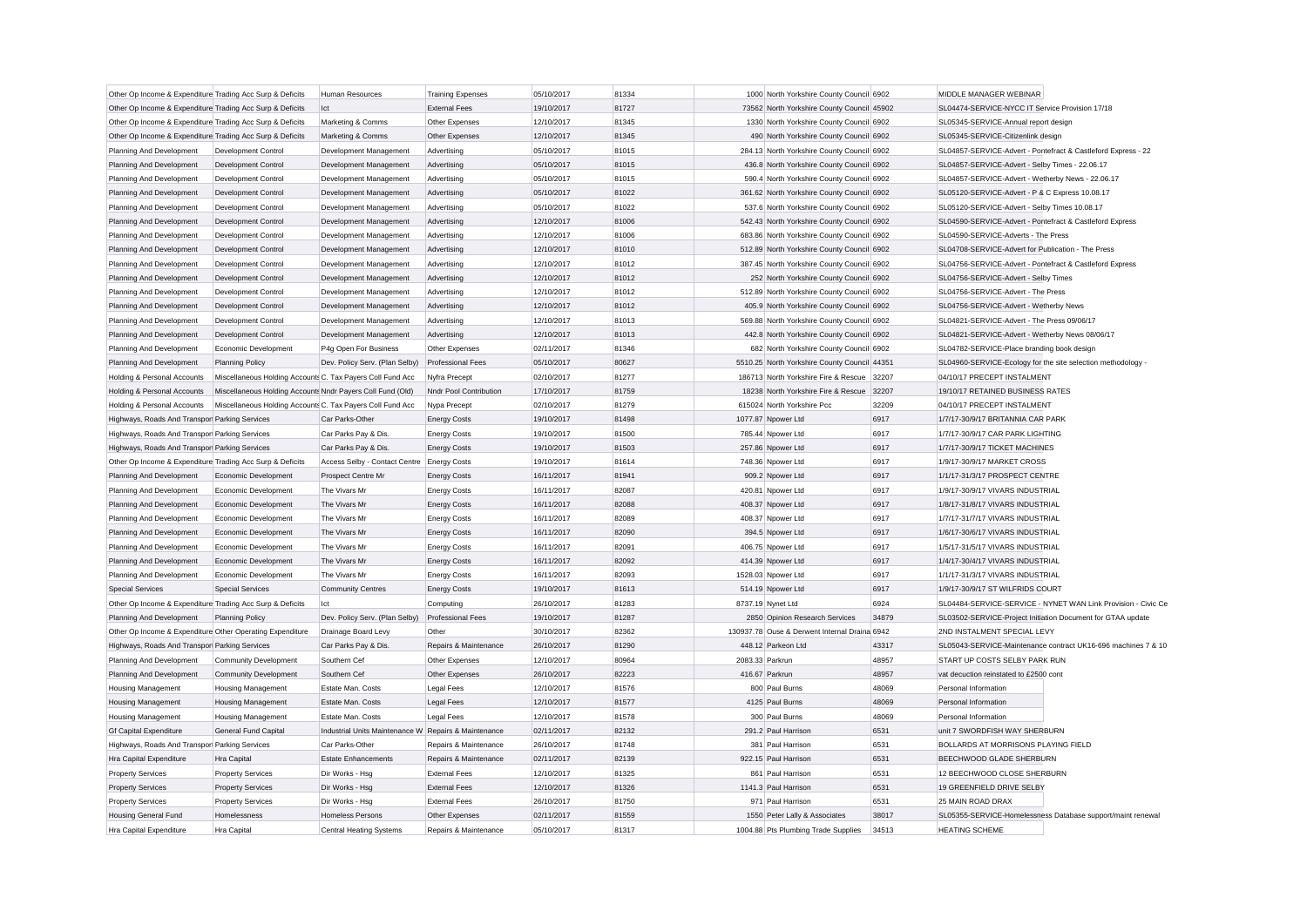| Other Op Income & Expenditure Trading Acc Surp & Deficits |                                                            | Human Resources                                      | <b>Training Expenses</b> | 05/10/2017 | 81334 | 1000 North Yorkshire County Council 6902      |       | MIDDLE MANAGER WEBINAR                                        |
|-----------------------------------------------------------|------------------------------------------------------------|------------------------------------------------------|--------------------------|------------|-------|-----------------------------------------------|-------|---------------------------------------------------------------|
| Other Op Income & Expenditure Trading Acc Surp & Deficits |                                                            | lct                                                  | <b>External Fees</b>     | 19/10/2017 | 81727 | 73562 North Yorkshire County Council 45902    |       | SL04474-SERVICE-NYCC IT Service Provision 17/18               |
| Other Op Income & Expenditure Trading Acc Surp & Deficits |                                                            | Marketing & Comms                                    | Other Expenses           | 12/10/2017 | 81345 | 1330 North Yorkshire County Council 6902      |       | SL05345-SERVICE-Annual report design                          |
| Other Op Income & Expenditure Trading Acc Surp & Deficits |                                                            | Marketing & Comms                                    | Other Expenses           | 12/10/2017 | 81345 | 490 North Yorkshire County Council 6902       |       | SL05345-SERVICE-Citizenlink design                            |
| Planning And Development                                  | Development Control                                        | Development Management                               | Advertising              | 05/10/2017 | 81015 | 284.13 North Yorkshire County Council 6902    |       | SL04857-SERVICE-Advert - Pontefract & Castleford Express - 22 |
| Planning And Development                                  | Development Control                                        | Development Management                               | Advertising              | 05/10/2017 | 81015 | 436.8 North Yorkshire County Council 6902     |       | SL04857-SERVICE-Advert - Selby Times - 22.06.17               |
| Planning And Development                                  | Development Control                                        | Development Management                               | Advertising              | 05/10/2017 | 81015 | 590.4 North Yorkshire County Council 6902     |       | SL04857-SERVICE-Advert - Wetherby News - 22.06.17             |
| Planning And Development                                  | Development Control                                        | Development Management                               | Advertising              | 05/10/2017 | 81022 | 361.62 North Yorkshire County Council 6902    |       | SL05120-SERVICE-Advert - P & C Express 10.08.17               |
| Planning And Development                                  | Development Control                                        | Development Management                               | Advertising              | 05/10/2017 | 81022 | 537.6 North Yorkshire County Council 6902     |       | SL05120-SERVICE-Advert - Selby Times 10.08.17                 |
| Planning And Development                                  | Development Control                                        | Development Management                               | Advertising              | 12/10/2017 | 81006 | 542.43 North Yorkshire County Council 6902    |       | SL04590-SERVICE-Advert - Pontefract & Castleford Express      |
| Planning And Development                                  | Development Control                                        | Development Management                               | Advertising              | 12/10/2017 | 81006 | 683.86 North Yorkshire County Council 6902    |       | SL04590-SERVICE-Adverts - The Press                           |
| Planning And Development                                  | Development Control                                        | Development Management                               | Advertising              | 12/10/2017 | 81010 | 512.89 North Yorkshire County Council 6902    |       | SL04708-SERVICE-Advert for Publication - The Press            |
| Planning And Development                                  | Development Control                                        | Development Management                               | Advertising              | 12/10/2017 | 81012 | 387.45 North Yorkshire County Council 6902    |       | SL04756-SERVICE-Advert - Pontefract & Castleford Express      |
| Planning And Development                                  | Development Control                                        | Development Management                               | Advertising              | 12/10/2017 | 81012 | 252 North Yorkshire County Council 6902       |       | SL04756-SERVICE-Advert - Selby Times                          |
| Planning And Development                                  | Development Control                                        | Development Management                               | Advertising              | 12/10/2017 | 81012 | 512.89 North Yorkshire County Council 6902    |       | SL04756-SERVICE-Advert - The Press                            |
| Planning And Development                                  | Development Control                                        | Development Management                               | Advertising              | 12/10/2017 | 81012 | 405.9 North Yorkshire County Council 6902     |       | SL04756-SERVICE-Advert - Wetherby News                        |
| Planning And Development                                  | Development Control                                        | Development Management                               | Advertising              | 12/10/2017 | 81013 | 569.88 North Yorkshire County Council 6902    |       | SL04821-SERVICE-Advert - The Press 09/06/17                   |
| Planning And Development                                  | Development Control                                        | Development Management                               | Advertising              | 12/10/2017 | 81013 | 442.8 North Yorkshire County Council 6902     |       | SL04821-SERVICE-Advert - Wetherby News 08/06/17               |
| Planning And Development                                  | Economic Development                                       | P4g Open For Business                                | Other Expenses           | 02/11/2017 | 81346 | 682 North Yorkshire County Council 6902       |       | SL04782-SERVICE-Place branding book design                    |
| Planning And Development                                  | <b>Planning Policy</b>                                     | Dev. Policy Serv. (Plan Selby)                       | <b>Professional Fees</b> | 05/10/2017 | 80627 | 5510.25 North Yorkshire County Council 44351  |       | SL04960-SERVICE-Ecology for the site selection methodology    |
| Holding & Personal Accounts                               | Miscellaneous Holding Accounts C. Tax Payers Coll Fund Acc |                                                      | Nyfra Precept            | 02/10/2017 | 81277 | 186713 North Yorkshire Fire & Rescue 32207    |       | 04/10/17 PRECEPT INSTALMENT                                   |
| Holding & Personal Accounts                               | Miscellaneous Holding Accounts Nndr Payers Coll Fund (Old) |                                                      | Nndr Pool Contribution   | 17/10/2017 | 81759 | 18238 North Yorkshire Fire & Rescue 32207     |       | 19/10/17 RETAINED BUSINESS RATES                              |
| Holding & Personal Accounts                               | Miscellaneous Holding Accounts C. Tax Payers Coll Fund Acc |                                                      | Nypa Precept             | 02/10/2017 | 81279 | 615024 North Yorkshire Pcc                    | 32209 | 04/10/17 PRECEPT INSTALMENT                                   |
| Highways, Roads And Transpor Parking Services             |                                                            | Car Parks-Other                                      | <b>Energy Costs</b>      | 19/10/2017 | 81498 | 1077.87 Npower Ltd                            | 6917  | 1/7/17-30/9/17 BRITANNIA CAR PARK                             |
| Highways, Roads And Transpor Parking Services             |                                                            | Car Parks Pay & Dis.                                 | <b>Energy Costs</b>      | 19/10/2017 | 81500 | 785.44 Npower Ltd                             | 6917  | 1/7/17-30/9/17 CAR PARK LIGHTING                              |
| Highways, Roads And Transpor Parking Services             |                                                            | Car Parks Pay & Dis.                                 | <b>Energy Costs</b>      | 19/10/2017 | 81503 | 257.86 Npower Ltd                             | 6917  | 1/7/17-30/9/17 TICKET MACHINES                                |
| Other Op Income & Expenditure Trading Acc Surp & Deficits |                                                            | Access Selby - Contact Centre                        | <b>Energy Costs</b>      | 19/10/2017 | 81614 | 748.36 Npower Ltd                             | 6917  | 1/9/17-30/9/17 MARKET CROSS                                   |
| Planning And Development                                  | Economic Development                                       | Prospect Centre Mr                                   | <b>Energy Costs</b>      | 16/11/2017 | 81941 | 909.2 Npower Ltd                              | 6917  | 1/1/17-31/3/17 PROSPECT CENTRE                                |
| Planning And Development                                  | Economic Development                                       | The Vivars Mr                                        | <b>Energy Costs</b>      | 16/11/2017 | 82087 | 420.81 Npower Ltd                             | 6917  | 1/9/17-30/9/17 VIVARS INDUSTRIAL                              |
| Planning And Development                                  | Economic Development                                       | The Vivars Mr                                        | <b>Energy Costs</b>      | 16/11/2017 | 82088 | 408.37 Npower Ltd                             | 6917  | 1/8/17-31/8/17 VIVARS INDUSTRIAL                              |
| Planning And Development                                  | Economic Development                                       | The Vivars Mr                                        | <b>Energy Costs</b>      | 16/11/2017 | 82089 | 408.37 Npower Ltd                             | 6917  | 1/7/17-31/7/17 VIVARS INDUSTRIAL                              |
| Planning And Development                                  | Economic Development                                       | The Vivars Mr                                        | <b>Energy Costs</b>      | 16/11/2017 | 82090 | 394.5 Npower Ltd                              | 6917  | 1/6/17-30/6/17 VIVARS INDUSTRIAL                              |
| Planning And Development                                  | Economic Development                                       | The Vivars Mr                                        | <b>Energy Costs</b>      | 16/11/2017 | 82091 | 406.75 Npower Ltd                             | 6917  | 1/5/17-31/5/17 VIVARS INDUSTRIAL                              |
| Planning And Development                                  | Economic Development                                       | The Vivars Mr                                        | <b>Energy Costs</b>      | 16/11/2017 | 82092 | 414.39 Npower Ltd                             | 6917  | 1/4/17-30/4/17 VIVARS INDUSTRIAL                              |
| Planning And Development                                  | Economic Development                                       | The Vivars Mr                                        | <b>Energy Costs</b>      | 16/11/2017 | 82093 | 1528.03 Npower Ltd                            | 6917  | 1/1/17-31/3/17 VIVARS INDUSTRIAL                              |
| <b>Special Services</b>                                   | <b>Special Services</b>                                    | <b>Community Centres</b>                             | <b>Energy Costs</b>      | 19/10/2017 | 81613 | 514.19 Npower Ltd                             | 6917  | 1/9/17-30/9/17 ST WILFRIDS COURT                              |
| Other Op Income & Expenditure Trading Acc Surp & Deficits |                                                            | Ict                                                  | Computing                | 26/10/2017 | 81283 | 8737.19 Nynet Ltd                             | 6924  | SL04484-SERVICE-SERVICE - NYNET WAN Link Provision - Civic Ce |
| Planning And Development                                  | <b>Planning Policy</b>                                     | Dev. Policy Serv. (Plan Selby)                       | <b>Professional Fees</b> | 19/10/2017 | 81287 | 2850 Opinion Research Services                | 34879 | SL03502-SERVICE-Project Initiation Document for GTAA update   |
| Other Op Income & Expenditure Other Operating Expenditure |                                                            | Drainage Board Levy                                  | Other                    | 30/10/2017 | 82362 | 130937.78 Ouse & Derwent Internal Draina 6942 |       | 2ND INSTALMENT SPECIAL LEVY                                   |
| Highways, Roads And Transpor Parking Services             |                                                            | Car Parks Pay & Dis.                                 | Repairs & Maintenance    | 26/10/2017 | 81290 | 448.12 Parkeon Ltd                            | 43317 | SL05043-SERVICE-Maintenance contract UK16-696 machines 7 & 10 |
| Planning And Development                                  | <b>Community Development</b>                               | Southern Cef                                         | Other Expenses           | 12/10/2017 | 80964 | 2083.33 Parkrun                               | 48957 | START UP COSTS SELBY PARK RUN                                 |
| Planning And Development                                  | <b>Community Development</b>                               | Southern Cef                                         | Other Expenses           | 26/10/2017 | 82223 | 416.67 Parkrun                                | 48957 | vat decuction reinstated to £2500 cont                        |
| <b>Housing Management</b>                                 | <b>Housing Management</b>                                  | Estate Man. Costs                                    | <b>Legal Fees</b>        | 12/10/2017 | 81576 | 800 Paul Burns                                | 48069 | Personal Information                                          |
| <b>Housing Management</b>                                 | <b>Housing Management</b>                                  | Estate Man. Costs                                    | <b>Legal Fees</b>        | 12/10/2017 | 81577 | 4125 Paul Burns                               | 48069 | Personal Information                                          |
| <b>Housing Management</b>                                 | <b>Housing Management</b>                                  | Estate Man, Costs                                    | Legal Fees               | 12/10/2017 | 81578 | 300 Paul Burns                                | 48069 | Personal Information                                          |
| <b>Gf Capital Expenditure</b>                             | General Fund Capital                                       | Industrial Units Maintenance W Repairs & Maintenance |                          | 02/11/2017 | 82132 | 291.2 Paul Harrison                           | 6531  | unit 7 SWORDFISH WAY SHERBURN                                 |
| Highways, Roads And Transpor Parking Services             |                                                            | Car Parks-Other                                      | Repairs & Maintenance    | 26/10/2017 | 81748 | 381 Paul Harrison                             | 6531  | BOLLARDS AT MORRISONS PLAYING FIELD                           |
| Hra Capital Expenditure                                   | Hra Capital                                                | <b>Estate Enhancements</b>                           | Repairs & Maintenance    | 02/11/2017 | 82139 | 922.15 Paul Harrison                          | 6531  | BEECHWOOD GLADE SHERBURN                                      |
| <b>Property Services</b>                                  | <b>Property Services</b>                                   | Dir Works - Hsg                                      | <b>External Fees</b>     | 12/10/2017 | 81325 | 861 Paul Harrison                             | 6531  | 12 BEECHWOOD CLOSE SHERBURN                                   |
| <b>Property Services</b>                                  | <b>Property Services</b>                                   | Dir Works - Hsg                                      | <b>External Fees</b>     | 12/10/2017 | 81326 | 1141.3 Paul Harrison                          | 6531  | 19 GREENFIELD DRIVE SELBY                                     |
| <b>Property Services</b>                                  | <b>Property Services</b>                                   | Dir Works - Hsg                                      | <b>External Fees</b>     | 26/10/2017 | 81750 | 971 Paul Harrison                             | 6531  | 25 MAIN ROAD DRAX                                             |
| <b>Housing General Fund</b>                               | Homelessness                                               | <b>Homeless Persons</b>                              | Other Expenses           | 02/11/2017 | 81559 | 1550 Peter Lally & Associates                 | 38017 | SL05355-SERVICE-Homelessness Database support/maint renewal   |
| Hra Capital Expenditure                                   | <b>Hra Capital</b>                                         | Central Heating Systems                              | Repairs & Maintenance    | 05/10/2017 | 81317 | 1004.88 Pts Plumbing Trade Supplies           | 34513 | <b>HEATING SCHEME</b>                                         |
|                                                           |                                                            |                                                      |                          |            |       |                                               |       |                                                               |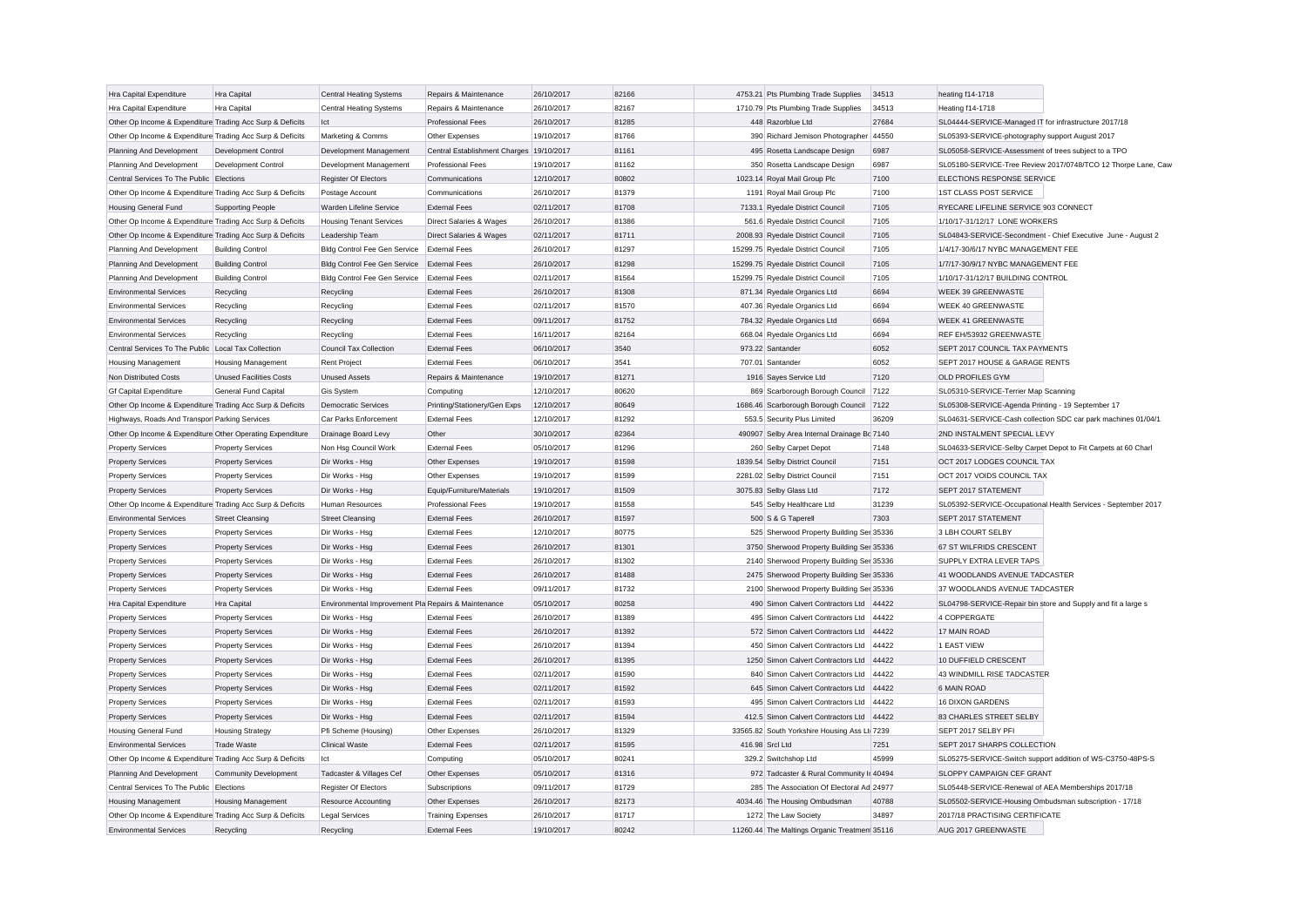| Hra Capital Expenditure                                   | Hra Capital                                          | Central Heating Systems                             | Repairs & Maintenance                    | 26/10/2017 | 82166 | 4753.21 Pts Plumbing Trade Supplies          | 34513 | heating f14-1718                                              |
|-----------------------------------------------------------|------------------------------------------------------|-----------------------------------------------------|------------------------------------------|------------|-------|----------------------------------------------|-------|---------------------------------------------------------------|
| Hra Capital Expenditure                                   | Hra Capital                                          | Central Heating Systems                             | Repairs & Maintenance                    | 26/10/2017 | 82167 | 1710.79 Pts Plumbing Trade Supplies          | 34513 | Heating f14-1718                                              |
| Other Op Income & Expenditure Trading Acc Surp & Deficits |                                                      | Ict                                                 | Professional Fees                        | 26/10/2017 | 81285 | 448 Razorblue Ltd                            | 27684 | SL04444-SERVICE-Managed IT for infrastructure 2017/18         |
| Other Op Income & Expenditure Trading Acc Surp & Deficits |                                                      | Marketing & Comms                                   | Other Expenses                           | 19/10/2017 | 81766 | 390 Richard Jemison Photographer 44550       |       | SL05393-SERVICE-photography support August 2017               |
| Planning And Development                                  | Development Control                                  | Development Management                              | Central Establishment Charges 19/10/2017 |            | 81161 | 495 Rosetta Landscape Design                 | 6987  | SL05058-SERVICE-Assessment of trees subject to a TPO          |
| Planning And Development                                  | Development Control                                  | Development Management                              | <b>Professional Fees</b>                 | 19/10/2017 | 81162 | 350 Rosetta Landscape Design                 | 6987  | SL05180-SERVICE-Tree Review 2017/0748/TCO 12 Thorpe Lane, Caw |
| Central Services To The Public Elections                  |                                                      | Register Of Electors                                | Communications                           | 12/10/2017 | 80802 | 1023.14 Royal Mail Group Plc                 | 7100  | ELECTIONS RESPONSE SERVICE                                    |
| Other Op Income & Expenditure Trading Acc Surp & Deficits |                                                      | Postage Account                                     | Communications                           | 26/10/2017 | 81379 | 1191 Royal Mail Group Plc                    | 7100  | <b>1ST CLASS POST SERVICE</b>                                 |
| <b>Housing General Fund</b>                               | <b>Supporting People</b>                             | Warden Lifeline Service                             | <b>External Fees</b>                     | 02/11/2017 | 81708 | 7133.1 Ryedale District Council              | 7105  | RYECARE LIFELINE SERVICE 903 CONNECT                          |
| Other Op Income & Expenditure Trading Acc Surp & Deficits |                                                      | <b>Housing Tenant Services</b>                      | Direct Salaries & Wages                  | 26/10/2017 | 81386 | 561.6 Ryedale District Council               | 7105  | 1/10/17-31/12/17 LONE WORKERS                                 |
| Other Op Income & Expenditure Trading Acc Surp & Deficits |                                                      | Leadership Team                                     | Direct Salaries & Wages                  | 02/11/2017 | 81711 | 2008.93 Ryedale District Council             | 7105  | SL04843-SERVICE-Secondment - Chief Executive June - August 2  |
| Planning And Development                                  | <b>Building Control</b>                              | Bldg Control Fee Gen Service                        | <b>External Fees</b>                     | 26/10/2017 | 81297 | 15299.75 Ryedale District Council            | 7105  | 1/4/17-30/6/17 NYBC MANAGEMENT FEE                            |
| Planning And Development                                  | <b>Building Control</b>                              | Bldg Control Fee Gen Service                        | <b>External Fees</b>                     | 26/10/2017 | 81298 | 15299.75 Ryedale District Council            | 7105  | 1/7/17-30/9/17 NYBC MANAGEMENT FEE                            |
| Planning And Development                                  | <b>Building Control</b>                              | Bldg Control Fee Gen Service                        | <b>External Fees</b>                     | 02/11/2017 | 81564 | 15299.75 Ryedale District Council            | 7105  | 1/10/17-31/12/17 BUILDING CONTROL                             |
| <b>Environmental Services</b>                             | Recycling                                            | Recycling                                           | <b>External Fees</b>                     | 26/10/2017 | 81308 | 871.34 Ryedale Organics Ltd                  | 6694  | <b>WEEK 39 GREENWASTE</b>                                     |
| <b>Environmental Services</b>                             | Recycling                                            | Recycling                                           | <b>External Fees</b>                     | 02/11/2017 | 81570 | 407.36 Ryedale Organics Ltd                  | 6694  | WEEK 40 GREENWASTE                                            |
| <b>Environmental Services</b>                             | Recycling                                            | Recycling                                           | <b>External Fees</b>                     | 09/11/2017 | 81752 | 784.32 Ryedale Organics Ltd                  | 6694  | <b>WEEK 41 GREENWASTE</b>                                     |
| <b>Environmental Services</b>                             | Recycling                                            | Recycling                                           | <b>External Fees</b>                     | 16/11/2017 | 82164 | 668.04 Ryedale Organics Ltd                  | 6694  | REF EH/53932 GREENWASTE                                       |
| Central Services To The Public Local Tax Collection       |                                                      | Council Tax Collection                              | <b>External Fees</b>                     | 06/10/2017 | 3540  | 973.22 Santander                             | 6052  | SEPT 2017 COUNCIL TAX PAYMENTS                                |
| <b>Housing Management</b>                                 | <b>Housing Management</b>                            | <b>Rent Project</b>                                 | <b>External Fees</b>                     | 06/10/2017 | 3541  | 707.01 Santander                             | 6052  | SEPT 2017 HOUSE & GARAGE RENTS                                |
| Non Distributed Costs                                     | <b>Unused Facilities Costs</b>                       | <b>Unused Assets</b>                                | Repairs & Maintenance                    | 19/10/2017 | 81271 | 1916 Sayes Service Ltd                       | 7120  | <b>OLD PROFILES GYM</b>                                       |
| <b>Gf Capital Expenditure</b>                             | <b>General Fund Capital</b>                          | <b>Gis System</b>                                   | Computing                                | 12/10/2017 | 80620 | 869 Scarborough Borough Council              | 7122  | SL05310-SERVICE-Terrier Map Scanning                          |
| Other Op Income & Expenditure Trading Acc Surp & Deficits |                                                      | <b>Democratic Services</b>                          | Printing/Stationery/Gen Exps             | 12/10/2017 | 80649 | 1686.46 Scarborough Borough Council 7122     |       | SL05308-SERVICE-Agenda Printing - 19 September 17             |
| Highways, Roads And Transpor Parking Services             |                                                      | Car Parks Enforcement                               | <b>External Fees</b>                     | 12/10/2017 | 81292 | 553.5 Security Plus Limited                  | 36209 | SL04631-SERVICE-Cash collection SDC car park machines 01/04/1 |
| Other Op Income & Expenditure Other Operating Expenditure |                                                      | Drainage Board Levy                                 | Other                                    | 30/10/2017 | 82364 | 490907 Selby Area Internal Drainage Bc 7140  |       | 2ND INSTALMENT SPECIAL LEVY                                   |
| <b>Property Services</b>                                  | <b>Property Services</b>                             | Non Hsg Council Work                                | <b>External Fees</b>                     | 05/10/2017 | 81296 | 260 Selby Carpet Depot                       | 7148  | SL04633-SERVICE-Selby Carpet Depot to Fit Carpets at 60 Charl |
|                                                           |                                                      | Dir Works - Hsg                                     | Other Expenses                           | 19/10/2017 | 81598 | 1839.54 Selby District Council               | 7151  | OCT 2017 LODGES COUNCIL TAX                                   |
| <b>Property Services</b><br><b>Property Services</b>      | <b>Property Services</b><br><b>Property Services</b> | Dir Works - Hsg                                     | Other Expenses                           | 19/10/2017 | 81599 | 2281.02 Selby District Council               | 7151  | OCT 2017 VOIDS COUNCIL TAX                                    |
| <b>Property Services</b>                                  | <b>Property Services</b>                             | Dir Works - Hsg                                     | Equip/Furniture/Materials                | 19/10/2017 | 81509 | 3075.83 Selby Glass Ltd                      | 7172  | SEPT 2017 STATEMENT                                           |
| Other Op Income & Expenditure Trading Acc Surp & Deficits |                                                      | Human Resources                                     | <b>Professional Fees</b>                 | 19/10/2017 | 81558 | 545 Selby Healthcare Ltd                     | 31239 | SL05392-SERVICE-Occupational Health Services - September 2017 |
|                                                           |                                                      | <b>Street Cleansing</b>                             | <b>External Fees</b>                     | 26/10/2017 | 81597 | 500 S & G Taperell                           | 7303  | SEPT 2017 STATEMENT                                           |
| <b>Environmental Services</b>                             | <b>Street Cleansing</b>                              |                                                     |                                          |            |       |                                              |       |                                                               |
| <b>Property Services</b>                                  | <b>Property Services</b>                             | Dir Works - Hsg                                     | <b>External Fees</b>                     | 12/10/2017 | 80775 | 525 Sherwood Property Building Ser 35336     |       | 3 LBH COURT SELBY                                             |
| <b>Property Services</b>                                  | <b>Property Services</b>                             | Dir Works - Hsg                                     | <b>External Fees</b>                     | 26/10/2017 | 81301 | 3750 Sherwood Property Building Ser 35336    |       | 67 ST WILFRIDS CRESCENT                                       |
| <b>Property Services</b>                                  | <b>Property Services</b>                             | Dir Works - Hsg                                     | <b>External Fees</b>                     | 26/10/2017 | 81302 | 2140 Sherwood Property Building Ser 35336    |       | <b>SUPPLY EXTRA LEVER TAPS</b>                                |
| <b>Property Services</b>                                  | <b>Property Services</b>                             | Dir Works - Hsg                                     | <b>External Fees</b>                     | 26/10/2017 | 81488 | 2475 Sherwood Property Building Ser 35336    |       | 41 WOODLANDS AVENUE TADCASTER                                 |
| <b>Property Services</b>                                  | <b>Property Services</b>                             | Dir Works - Hsg                                     | <b>External Fees</b>                     | 09/11/2017 | 81732 | 2100 Sherwood Property Building Ser 35336    |       | 37 WOODLANDS AVENUE TADCASTER                                 |
| Hra Capital Expenditure                                   | Hra Capital                                          | Environmental Improvement Pla Repairs & Maintenance |                                          | 05/10/2017 | 80258 | 490 Simon Calvert Contractors Ltd 44422      |       | SL04798-SERVICE-Repair bin store and Supply and fit a large s |
| <b>Property Services</b>                                  | <b>Property Services</b>                             | Dir Works - Hsa                                     | <b>External Fees</b>                     | 26/10/2017 | 81389 | 495 Simon Calvert Contractors Ltd 44422      |       | 4 COPPERGATE                                                  |
| <b>Property Services</b>                                  | <b>Property Services</b>                             | Dir Works - Hsg                                     | <b>External Fees</b>                     | 26/10/2017 | 81392 | 572 Simon Calvert Contractors Ltd 44422      |       | 17 MAIN ROAD                                                  |
| <b>Property Services</b>                                  | <b>Property Services</b>                             | Dir Works - Hsg                                     | <b>External Fees</b>                     | 26/10/2017 | 81394 | 450 Simon Calvert Contractors Ltd 44422      |       | 1 EAST VIEW                                                   |
| <b>Property Services</b>                                  | <b>Property Services</b>                             | Dir Works - Hsg                                     | <b>External Fees</b>                     | 26/10/2017 | 81395 | 1250 Simon Calvert Contractors Ltd 44422     |       | 10 DUFFIELD CRESCENT                                          |
| <b>Property Services</b>                                  | <b>Property Services</b>                             | Dir Works - Hsg                                     | <b>External Fees</b>                     | 02/11/2017 | 81590 | 840 Simon Calvert Contractors Ltd 44422      |       | 43 WINDMILL RISE TADCASTER                                    |
| <b>Property Services</b>                                  | <b>Property Services</b>                             | Dir Works - Hsg                                     | <b>External Fees</b>                     | 02/11/2017 | 81592 | 645 Simon Calvert Contractors Ltd 44422      |       | 6 MAIN ROAD                                                   |
| <b>Property Services</b>                                  | <b>Property Services</b>                             | Dir Works - Hsg                                     | <b>External Fees</b>                     | 02/11/2017 | 81593 | 495 Simon Calvert Contractors Ltd 44422      |       | 16 DIXON GARDENS                                              |
| <b>Property Services</b>                                  | <b>Property Services</b>                             | Dir Works - Hsg                                     | <b>External Fees</b>                     | 02/11/2017 | 81594 | 412.5 Simon Calvert Contractors Ltd 44422    |       | 83 CHARLES STREET SELBY                                       |
| <b>Housing General Fund</b>                               | <b>Housing Strategy</b>                              | Pfi Scheme (Housing)                                | Other Expenses                           | 26/10/2017 | 81329 | 33565.82 South Yorkshire Housing Ass Lt 7239 |       | SEPT 2017 SELBY PFI                                           |
| <b>Environmental Services</b>                             | <b>Trade Waste</b>                                   | <b>Clinical Waste</b>                               | <b>External Fees</b>                     | 02/11/2017 | 81595 | 416.98 Srcl Ltd                              | 7251  | SEPT 2017 SHARPS COLLECTION                                   |
| Other Op Income & Expenditure Trading Acc Surp & Deficits |                                                      | lct                                                 | Computing                                | 05/10/2017 | 80241 | 329.2 Switchshop Ltd                         | 45999 | SL05275-SERVICE-Switch support addition of WS-C3750-48PS-S    |
| Planning And Development                                  | <b>Community Development</b>                         | Tadcaster & Villages Cef                            | Other Expenses                           | 05/10/2017 | 81316 | 972 Tadcaster & Rural Community Ir 40494     |       | SLOPPY CAMPAIGN CEF GRANT                                     |
| Central Services To The Public                            | Elections                                            | Register Of Electors                                | Subscriptions                            | 09/11/2017 | 81729 | 285 The Association Of Electoral Ad 24977    |       | SL05448-SERVICE-Renewal of AEA Memberships 2017/18            |
| <b>Housing Management</b>                                 | Housing Management                                   | <b>Resource Accounting</b>                          | Other Expenses                           | 26/10/2017 | 82173 | 4034.46 The Housing Ombudsman                | 40788 | SL05502-SERVICE-Housing Ombudsman subscription - 17/18        |
| Other Op Income & Expenditure Trading Acc Surp & Deficits |                                                      | <b>Legal Services</b>                               | <b>Training Expenses</b>                 | 26/10/2017 | 81717 | 1272 The Law Society                         | 34897 | 2017/18 PRACTISING CERTIFICATE                                |
| <b>Environmental Services</b>                             | Recycling                                            | Recycling                                           | <b>External Fees</b>                     | 19/10/2017 | 80242 | 11260.44 The Maltings Organic Treatmen 35116 |       | AUG 2017 GREENWASTE                                           |